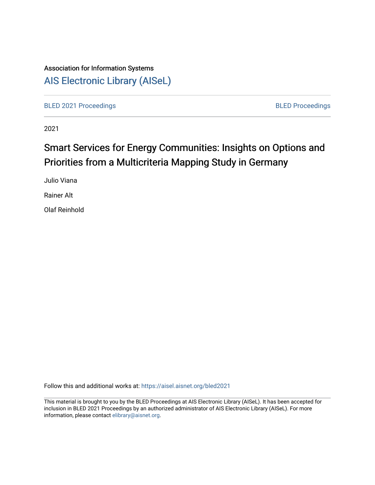## Association for Information Systems [AIS Electronic Library \(AISeL\)](https://aisel.aisnet.org/)

[BLED 2021 Proceedings](https://aisel.aisnet.org/bled2021) **BLED Proceedings** 

2021

# Smart Services for Energy Communities: Insights on Options and Priorities from a Multicriteria Mapping Study in Germany

Julio Viana

Rainer Alt

Olaf Reinhold

Follow this and additional works at: [https://aisel.aisnet.org/bled2021](https://aisel.aisnet.org/bled2021?utm_source=aisel.aisnet.org%2Fbled2021%2F29&utm_medium=PDF&utm_campaign=PDFCoverPages) 

This material is brought to you by the BLED Proceedings at AIS Electronic Library (AISeL). It has been accepted for inclusion in BLED 2021 Proceedings by an authorized administrator of AIS Electronic Library (AISeL). For more information, please contact [elibrary@aisnet.org.](mailto:elibrary@aisnet.org%3E)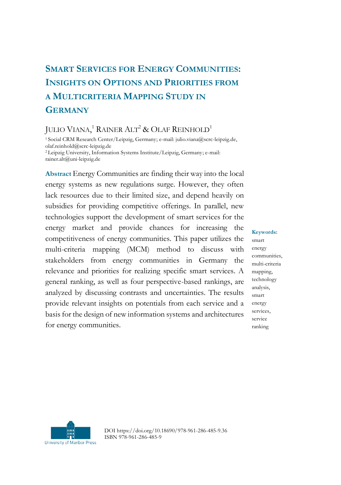## **SMART SERVICES FOR ENERGY COMMUNITIES: INSIGHTS ON OPTIONS AND PRIORITIES FROM A MULTICRITERIA MAPPING STUDY IN GERMANY**

## JULIO VIANA,<sup>1</sup> RAINER ALT<sup>2</sup> & OLAF REINHOLD<sup>1</sup>

<sup>1</sup>Social CRM Research Center/Leipzig, Germany; e-mail: julio.viana@scrc-leipzig.de, olaf.reinhold@scrc-leipzig.de <sup>2</sup>Leipzig University, Information Systems Institute/Leipzig, Germany; e-mail: rainer.alt@uni-leipzig.de

**Abstract** Energy Communities are finding their way into the local energy systems as new regulations surge. However, they often lack resources due to their limited size, and depend heavily on subsidies for providing competitive offerings. In parallel, new technologies support the development of smart services for the energy market and provide chances for increasing the competitiveness of energy communities. This paper utilizes the multi-criteria mapping (MCM) method to discuss with stakeholders from energy communities in Germany the relevance and priorities for realizing specific smart services. A general ranking, as well as four perspective-based rankings, are analyzed by discussing contrasts and uncertainties. The results provide relevant insights on potentials from each service and a basis for the design of new information systems and architectures for energy communities.

#### **Keywords:** smart energy communities, multi-criteria mapping, technology analysis, smart energy services, service ranking



DOI https://doi.org/10.18690/978-961-286-485-9.36 ISBN 978-961-286-485-9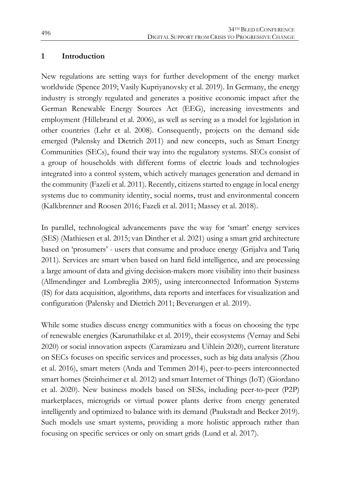#### **1 Introduction**

New regulations are setting ways for further development of the energy market worldwide (Spence 2019; Vasily Kupriyanovsky et al. 2019). In Germany, the energy industry is strongly regulated and generates a positive economic impact after the German Renewable Energy Sources Act (EEG), increasing investments and employment (Hillebrand et al. 2006), as well as serving as a model for legislation in other countries (Lehr et al. 2008). Consequently, projects on the demand side emerged (Palensky and Dietrich 2011) and new concepts, such as Smart Energy Communities (SECs), found their way into the regulatory systems. SECs consist of a group of households with different forms of electric loads and technologies integrated into a control system, which actively manages generation and demand in the community (Fazeli et al. 2011). Recently, citizens started to engage in local energy systems due to community identity, social norms, trust and environmental concern (Kalkbrenner and Roosen 2016; Fazeli et al. 2011; Massey et al. 2018).

In parallel, technological advancements pave the way for 'smart' energy services (SES) (Mathiesen et al. 2015; van Dinther et al. 2021) using a smart grid architecture based on 'prosumers' - users that consume and produce energy (Grijalva and Tariq 2011). Services are smart when based on hard field intelligence, and are processing a large amount of data and giving decision-makers more visibility into their business (Allmendinger and Lombreglia 2005), using interconnected Information Systems (IS) for data acquisition, algorithms, data reports and interfaces for visualization and configuration (Palensky and Dietrich 2011; Beverungen et al. 2019).

While some studies discuss energy communities with a focus on choosing the type of renewable energies (Karunathilake et al. 2019), their ecosystems (Vernay and Sebi 2020) or social innovation aspects (Caramizaru and Uihlein 2020), current literature on SECs focuses on specific services and processes, such as big data analysis (Zhou et al. 2016), smart meters (Anda and Temmen 2014), peer-to-peers interconnected smart homes (Steinheimer et al. 2012) and smart Internet of Things (IoT) (Giordano et al. 2020). New business models based on SESs, including peer-to-peer (P2P) marketplaces, microgrids or virtual power plants derive from energy generated intelligently and optimized to balance with its demand (Paukstadt and Becker 2019). Such models use smart systems, providing a more holistic approach rather than focusing on specific services or only on smart grids (Lund et al. 2017).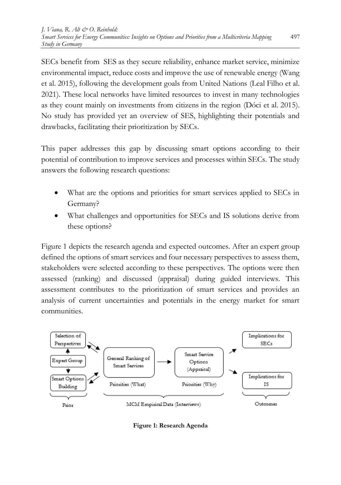SECs benefit from SES as they secure reliability, enhance market service, minimize environmental impact, reduce costs and improve the use of renewable energy (Wang et al. 2015), following the development goals from United Nations (Leal Filho et al. 2021). These local networks have limited resources to invest in many technologies as they count mainly on investments from citizens in the region (Dóci et al. 2015). No study has provided yet an overview of SES, highlighting their potentials and drawbacks, facilitating their prioritization by SECs.

This paper addresses this gap by discussing smart options according to their potential of contribution to improve services and processes within SECs. The study answers the following research questions:

- What are the options and priorities for smart services applied to SECs in Germany?
- What challenges and opportunities for SECs and IS solutions derive from these options?

Figure 1 depicts the research agenda and expected outcomes. After an expert group defined the options of smart services and four necessary perspectives to assess them, stakeholders were selected according to these perspectives. The options were then assessed (ranking) and discussed (appraisal) during guided interviews. This assessment contributes to the prioritization of smart services and provides an analysis of current uncertainties and potentials in the energy market for smart communities.



**Figure 1: Research Agenda**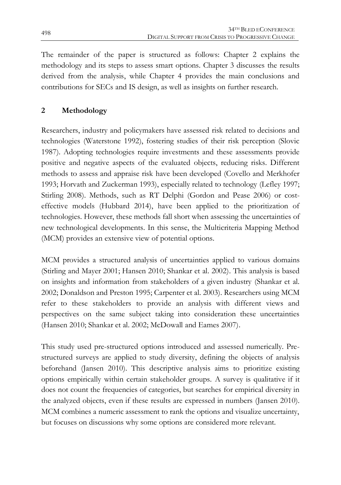The remainder of the paper is structured as follows: Chapter 2 explains the methodology and its steps to assess smart options. Chapter 3 discusses the results derived from the analysis, while Chapter 4 provides the main conclusions and contributions for SECs and IS design, as well as insights on further research.

## **2 Methodology**

Researchers, industry and policymakers have assessed risk related to decisions and technologies (Waterstone 1992), fostering studies of their risk perception (Slovic 1987). Adopting technologies require investments and these assessments provide positive and negative aspects of the evaluated objects, reducing risks. Different methods to assess and appraise risk have been developed (Covello and Merkhofer 1993; Horvath and Zuckerman 1993), especially related to technology (Lefley 1997; Stirling 2008). Methods, such as RT Delphi (Gordon and Pease 2006) or costeffective models (Hubbard 2014), have been applied to the prioritization of technologies. However, these methods fall short when assessing the uncertainties of new technological developments. In this sense, the Multicriteria Mapping Method (MCM) provides an extensive view of potential options.

MCM provides a structured analysis of uncertainties applied to various domains (Stirling and Mayer 2001; Hansen 2010; Shankar et al. 2002). This analysis is based on insights and information from stakeholders of a given industry (Shankar et al. 2002; Donaldson and Preston 1995; Carpenter et al. 2003). Researchers using MCM refer to these stakeholders to provide an analysis with different views and perspectives on the same subject taking into consideration these uncertainties (Hansen 2010; Shankar et al. 2002; McDowall and Eames 2007).

This study used pre-structured options introduced and assessed numerically. Prestructured surveys are applied to study diversity, defining the objects of analysis beforehand (Jansen 2010). This descriptive analysis aims to prioritize existing options empirically within certain stakeholder groups. A survey is qualitative if it does not count the frequencies of categories, but searches for empirical diversity in the analyzed objects, even if these results are expressed in numbers (Jansen 2010). MCM combines a numeric assessment to rank the options and visualize uncertainty, but focuses on discussions why some options are considered more relevant.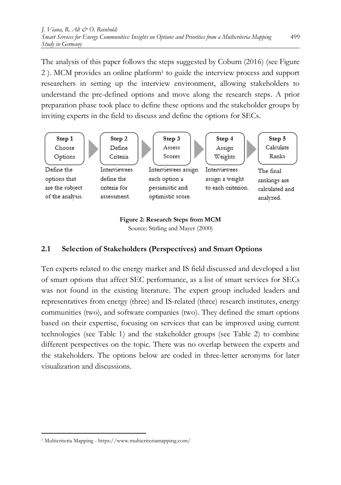The analysis of this paper follows the steps suggested by Coburn (2016) (see Figure 2 ). MCM provides an online platform<sup>1</sup> to guide the interview process and support researchers in setting up the interview environment, allowing stakeholders to understand the pre-defined options and move along the research steps. A prior preparation phase took place to define these options and the stakeholder groups by inviting experts in the field to discuss and define the options for SECs.



#### **Figure 2: Research Steps from MCM** Source: Stirling and Mayer (2000)

## **2.1 Selection of Stakeholders (Perspectives) and Smart Options**

Ten experts related to the energy market and IS field discussed and developed a list of smart options that affect SEC performance, as a list of smart services for SECs was not found in the existing literature. The expert group included leaders and representatives from energy (three) and IS-related (three) research institutes, energy communities (two), and software companies (two). They defined the smart options based on their expertise, focusing on services that can be improved using current technologies (see Table 1) and the stakeholder groups (see Table 2) to combine different perspectives on the topic. There was no overlap between the experts and the stakeholders. The options below are coded in three-letter acronyms for later visualization and discussions.

<sup>1</sup> <sup>1</sup> Multicriteria Mapping - https://www.multicriteriamapping.com/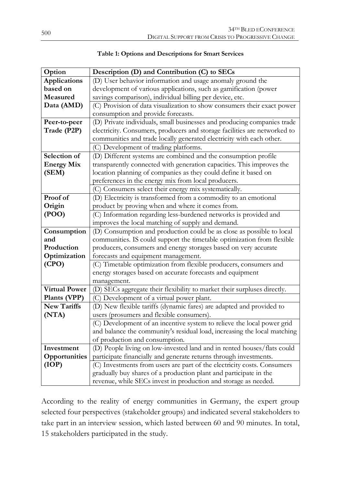| Option               | Description (D) and Contribution (C) to SECs                              |  |  |
|----------------------|---------------------------------------------------------------------------|--|--|
| <b>Applications</b>  | (D) User behavior information and usage anomaly ground the                |  |  |
| based on             | development of various applications, such as gamification (power          |  |  |
| Measured             | savings comparison), individual billing per device, etc.                  |  |  |
| Data (AMD)           | (C) Provision of data visualization to show consumers their exact power   |  |  |
|                      | consumption and provide forecasts.                                        |  |  |
| Peer-to-peer         | (D) Private individuals, small businesses and producing companies trade   |  |  |
| Trade (P2P)          | electricity. Consumers, producers and storage facilities are networked to |  |  |
|                      | communities and trade locally generated electricity with each other.      |  |  |
|                      | (C) Development of trading platforms.                                     |  |  |
| Selection of         | (D) Different systems are combined and the consumption profile            |  |  |
| <b>Energy Mix</b>    | transparently connected with generation capacities. This improves the     |  |  |
| (SEM)                | location planning of companies as they could define it based on           |  |  |
|                      | preferences in the energy mix from local producers.                       |  |  |
|                      | (C) Consumers select their energy mix systematically.                     |  |  |
| Proof of             | (D) Electricity is transformed from a commodity to an emotional           |  |  |
| Origin               | product by proving when and where it comes from.                          |  |  |
| (POO)                | (C) Information regarding less-burdened networks is provided and          |  |  |
|                      | improves the local matching of supply and demand.                         |  |  |
| Consumption          | (D) Consumption and production could be as close as possible to local     |  |  |
| and                  | communities. IS could support the timetable optimization from flexible    |  |  |
| Production           | producers, consumers and energy storages based on very accurate           |  |  |
| Optimization         | forecasts and equipment management.                                       |  |  |
| (CPO)                | (C) Timetable optimization from flexible producers, consumers and         |  |  |
|                      | energy storages based on accurate forecasts and equipment                 |  |  |
|                      | management.                                                               |  |  |
| <b>Virtual Power</b> | (D) SECs aggregate their flexibility to market their surpluses directly.  |  |  |
| Plants (VPP)         | (C) Development of a virtual power plant.                                 |  |  |
| <b>New Tariffs</b>   | (D) New flexible tariffs (dynamic fares) are adapted and provided to      |  |  |
| (NTA)                | users (prosumers and flexible consumers).                                 |  |  |
|                      | (C) Development of an incentive system to relieve the local power grid    |  |  |
|                      | and balance the community's residual load, increasing the local matching  |  |  |
|                      | of production and consumption.                                            |  |  |
| Investment           | (D) People living on low-invested land and in rented houses/flats could   |  |  |
| Opportunities        | participate financially and generate returns through investments.         |  |  |
| (IOP)                | (C) Investments from users are part of the electricity costs. Consumers   |  |  |
|                      | gradually buy shares of a production plant and participate in the         |  |  |
|                      | revenue, while SECs invest in production and storage as needed.           |  |  |

| Table 1: Options and Descriptions for Smart Services |  |  |
|------------------------------------------------------|--|--|
|------------------------------------------------------|--|--|

According to the reality of energy communities in Germany, the expert group selected four perspectives (stakeholder groups) and indicated several stakeholders to take part in an interview session, which lasted between 60 and 90 minutes. In total, 15 stakeholders participated in the study.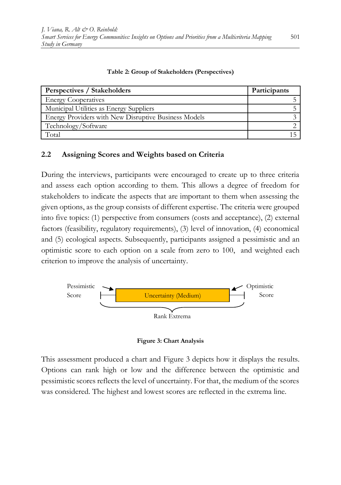| Perspectives / Stakeholders                          | Participants |  |
|------------------------------------------------------|--------------|--|
| <b>Energy Cooperatives</b>                           |              |  |
| Municipal Utilities as Energy Suppliers              |              |  |
| Energy Providers with New Disruptive Business Models |              |  |
| Technology/Software                                  |              |  |
| Total                                                |              |  |

#### **Table 2: Group of Stakeholders (Perspectives)**

### **2.2 Assigning Scores and Weights based on Criteria**

During the interviews, participants were encouraged to create up to three criteria and assess each option according to them. This allows a degree of freedom for stakeholders to indicate the aspects that are important to them when assessing the given options, as the group consists of different expertise. The criteria were grouped into five topics: (1) perspective from consumers (costs and acceptance), (2) external factors (feasibility, regulatory requirements), (3) level of innovation, (4) economical and (5) ecological aspects. Subsequently, participants assigned a pessimistic and an optimistic score to each option on a scale from zero to 100, and weighted each criterion to improve the analysis of uncertainty.



**Figure 3: Chart Analysis**

This assessment produced a chart and Figure 3 depicts how it displays the results. Options can rank high or low and the difference between the optimistic and pessimistic scores reflects the level of uncertainty. For that, the medium of the scores was considered. The highest and lowest scores are reflected in the extrema line.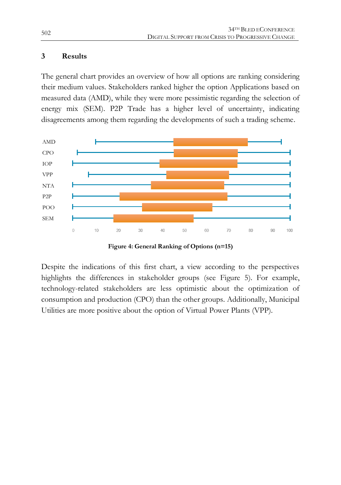### **3 Results**

The general chart provides an overview of how all options are ranking considering their medium values. Stakeholders ranked higher the option Applications based on measured data (AMD), while they were more pessimistic regarding the selection of energy mix (SEM). P2P Trade has a higher level of uncertainty, indicating disagreements among them regarding the developments of such a trading scheme.



**Figure 4: General Ranking of Options (n=15)**

Despite the indications of this first chart, a view according to the perspectives highlights the differences in stakeholder groups (see Figure 5). For example, technology-related stakeholders are less optimistic about the optimization of consumption and production (CPO) than the other groups. Additionally, Municipal Utilities are more positive about the option of Virtual Power Plants (VPP).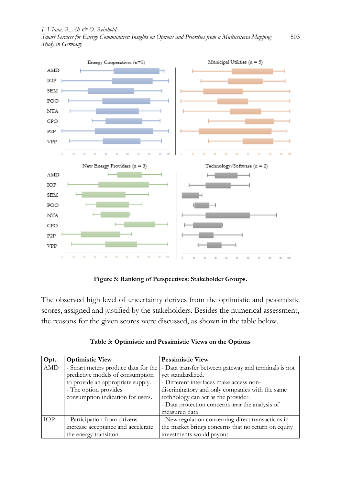

**Figure 5: Ranking of Perspectives: Stakeholder Groups.**

The observed high level of uncertainty derives from the optimistic and pessimistic scores, assigned and justified by the stakeholders. Besides the numerical assessment, the reasons for the given scores were discussed, as shown in the table below.

| Opt.       | <b>Optimistic View</b>              | <b>Pessimistic View</b>                              |
|------------|-------------------------------------|------------------------------------------------------|
| AMD        | - Smart meters produce data for the | - Data transfer between gateway and terminals is not |
|            | predictive models of consumption    | vet standardized.                                    |
|            | to provide an appropriate supply.   | - Different interfaces make access non-              |
|            | - The option provides               | discriminatory and only companies with the same      |
|            | consumption indication for users.   | technology can act as the provider.                  |
|            |                                     | - Data protection concerns limit the analysis of     |
|            |                                     | measured data                                        |
| <b>TOP</b> | - Participation from citizens       | - New regulation concerning direct transactions in   |
|            | increase acceptance and accelerate  | the market brings concerns that no return on equity  |
|            | the energy transition.              | investments would payout.                            |

| Table 3: Optimistic and Pessimistic Views on the Options |  |  |
|----------------------------------------------------------|--|--|
|                                                          |  |  |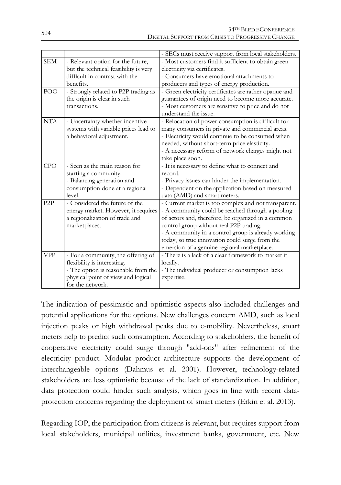|                  |                                                                                                                                                                    | - SECs must receive support from local stakeholders.                                                                                                                                                                                                                                                                                                              |
|------------------|--------------------------------------------------------------------------------------------------------------------------------------------------------------------|-------------------------------------------------------------------------------------------------------------------------------------------------------------------------------------------------------------------------------------------------------------------------------------------------------------------------------------------------------------------|
| <b>SEM</b>       | - Relevant option for the future,                                                                                                                                  | - Most customers find it sufficient to obtain green                                                                                                                                                                                                                                                                                                               |
|                  | but the technical feasibility is very                                                                                                                              | electricity via certificates.                                                                                                                                                                                                                                                                                                                                     |
|                  | difficult in contrast with the                                                                                                                                     | - Consumers have emotional attachments to                                                                                                                                                                                                                                                                                                                         |
|                  | benefits.                                                                                                                                                          | producers and types of energy production.                                                                                                                                                                                                                                                                                                                         |
| POO              | - Strongly related to P2P trading as<br>the origin is clear in such<br>transactions.                                                                               | - Green electricity certificates are rather opaque and<br>guarantees of origin need to become more accurate.<br>- Most customers are sensitive to price and do not<br>understand the issue.                                                                                                                                                                       |
| <b>NTA</b>       | - Uncertainty whether incentive<br>systems with variable prices lead to<br>a behavioral adjustment.                                                                | - Relocation of power consumption is difficult for<br>many consumers in private and commercial areas.<br>- Electricity would continue to be consumed when<br>needed, without short-term price elasticity.<br>- A necessary reform of network charges might not<br>take place soon.                                                                                |
| <b>CPO</b>       | - Seen as the main reason for<br>starting a community.<br>- Balancing generation and<br>consumption done at a regional<br>level.                                   | - It is necessary to define what to connect and<br>record.<br>- Privacy issues can hinder the implementation.<br>- Dependent on the application based on measured<br>data (AMD) and smart meters.                                                                                                                                                                 |
| P <sub>2</sub> P | - Considered the future of the<br>energy market. However, it requires<br>a regionalization of trade and<br>marketplaces.                                           | - Current market is too complex and not transparent.<br>- A community could be reached through a pooling<br>of actors and, therefore, be organized in a common<br>control group without real P2P trading.<br>- A community in a control group is already working<br>today, so true innovation could surge from the<br>emersion of a genuine regional marketplace. |
| <b>VPP</b>       | - For a community, the offering of<br>flexibility is interesting.<br>- The option is reasonable from the<br>physical point of view and logical<br>for the network. | - There is a lack of a clear framework to market it<br>locally.<br>- The individual producer or consumption lacks<br>expertise.                                                                                                                                                                                                                                   |

The indication of pessimistic and optimistic aspects also included challenges and potential applications for the options. New challenges concern AMD, such as local injection peaks or high withdrawal peaks due to e-mobility. Nevertheless, smart meters help to predict such consumption. According to stakeholders, the benefit of cooperative electricity could surge through "add-ons" after refinement of the electricity product. Modular product architecture supports the development of interchangeable options (Dahmus et al. 2001). However, technology-related stakeholders are less optimistic because of the lack of standardization. In addition, data protection could hinder such analysis, which goes in line with recent dataprotection concerns regarding the deployment of smart meters (Erkin et al. 2013).

Regarding IOP, the participation from citizens is relevant, but requires support from local stakeholders, municipal utilities, investment banks, government, etc. New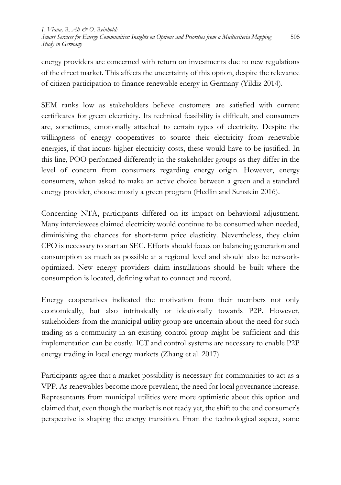energy providers are concerned with return on investments due to new regulations of the direct market. This affects the uncertainty of this option, despite the relevance of citizen participation to finance renewable energy in Germany (Yildiz 2014).

SEM ranks low as stakeholders believe customers are satisfied with current certificates for green electricity. Its technical feasibility is difficult, and consumers are, sometimes, emotionally attached to certain types of electricity. Despite the willingness of energy cooperatives to source their electricity from renewable energies, if that incurs higher electricity costs, these would have to be justified. In this line, POO performed differently in the stakeholder groups as they differ in the level of concern from consumers regarding energy origin. However, energy consumers, when asked to make an active choice between a green and a standard energy provider, choose mostly a green program (Hedlin and Sunstein 2016).

Concerning NTA, participants differed on its impact on behavioral adjustment. Many interviewees claimed electricity would continue to be consumed when needed, diminishing the chances for short-term price elasticity. Nevertheless, they claim CPO is necessary to start an SEC. Efforts should focus on balancing generation and consumption as much as possible at a regional level and should also be networkoptimized. New energy providers claim installations should be built where the consumption is located, defining what to connect and record.

Energy cooperatives indicated the motivation from their members not only economically, but also intrinsically or ideationally towards P2P. However, stakeholders from the municipal utility group are uncertain about the need for such trading as a community in an existing control group might be sufficient and this implementation can be costly. ICT and control systems are necessary to enable P2P energy trading in local energy markets (Zhang et al. 2017).

Participants agree that a market possibility is necessary for communities to act as a VPP. As renewables become more prevalent, the need for local governance increase. Representants from municipal utilities were more optimistic about this option and claimed that, even though the market is not ready yet, the shift to the end consumer's perspective is shaping the energy transition. From the technological aspect, some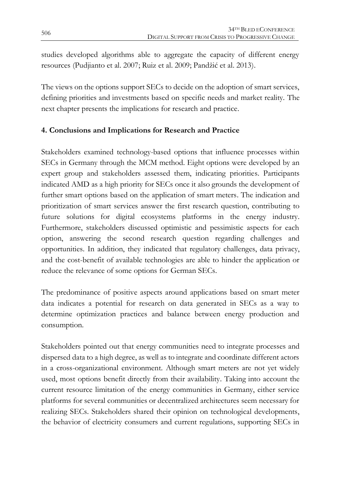studies developed algorithms able to aggregate the capacity of different energy resources (Pudjianto et al. 2007; Ruiz et al. 2009; Pandžić et al. 2013).

The views on the options support SECs to decide on the adoption of smart services, defining priorities and investments based on specific needs and market reality. The next chapter presents the implications for research and practice.

## **4. Conclusions and Implications for Research and Practice**

Stakeholders examined technology-based options that influence processes within SECs in Germany through the MCM method. Eight options were developed by an expert group and stakeholders assessed them, indicating priorities. Participants indicated AMD as a high priority for SECs once it also grounds the development of further smart options based on the application of smart meters. The indication and prioritization of smart services answer the first research question, contributing to future solutions for digital ecosystems platforms in the energy industry. Furthermore, stakeholders discussed optimistic and pessimistic aspects for each option, answering the second research question regarding challenges and opportunities. In addition, they indicated that regulatory challenges, data privacy, and the cost-benefit of available technologies are able to hinder the application or reduce the relevance of some options for German SECs.

The predominance of positive aspects around applications based on smart meter data indicates a potential for research on data generated in SECs as a way to determine optimization practices and balance between energy production and consumption.

Stakeholders pointed out that energy communities need to integrate processes and dispersed data to a high degree, as well as to integrate and coordinate different actors in a cross-organizational environment. Although smart meters are not yet widely used, most options benefit directly from their availability. Taking into account the current resource limitation of the energy communities in Germany, either service platforms for several communities or decentralized architectures seem necessary for realizing SECs. Stakeholders shared their opinion on technological developments, the behavior of electricity consumers and current regulations, supporting SECs in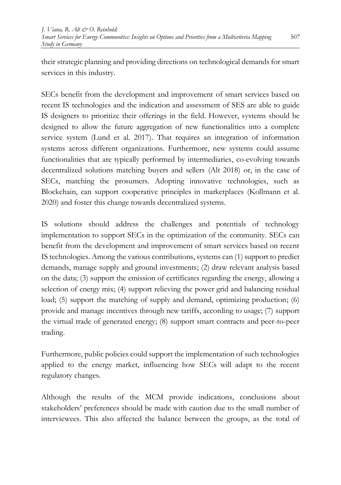their strategic planning and providing directions on technological demands for smart services in this industry.

SECs benefit from the development and improvement of smart services based on recent IS technologies and the indication and assessment of SES are able to guide IS designers to prioritize their offerings in the field. However, systems should be designed to allow the future aggregation of new functionalities into a complete service system (Lund et al. 2017). That requires an integration of information systems across different organizations. Furthermore, new systems could assume functionalities that are typically performed by intermediaries, co-evolving towards decentralized solutions matching buyers and sellers (Alt 2018) or, in the case of SECs, matching the prosumers. Adopting innovative technologies, such as Blockchain, can support cooperative principles in marketplaces (Kollmann et al. 2020) and foster this change towards decentralized systems.

IS solutions should address the challenges and potentials of technology implementation to support SECs in the optimization of the community. SECs can benefit from the development and improvement of smart services based on recent IS technologies. Among the various contributions, systems can (1) support to predict demands, manage supply and ground investments; (2) draw relevant analysis based on the data; (3) support the emission of certificates regarding the energy, allowing a selection of energy mix; (4) support relieving the power grid and balancing residual load; (5) support the matching of supply and demand, optimizing production; (6) provide and manage incentives through new tariffs, according to usage; (7) support the virtual trade of generated energy; (8) support smart contracts and peer-to-peer trading.

Furthermore, public policies could support the implementation of such technologies applied to the energy market, influencing how SECs will adapt to the recent regulatory changes.

Although the results of the MCM provide indications, conclusions about stakeholders' preferences should be made with caution due to the small number of interviewees. This also affected the balance between the groups, as the total of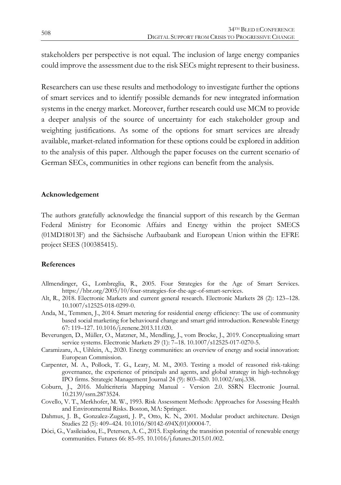stakeholders per perspective is not equal. The inclusion of large energy companies could improve the assessment due to the risk SECs might represent to their business.

Researchers can use these results and methodology to investigate further the options of smart services and to identify possible demands for new integrated information systems in the energy market. Moreover, further research could use MCM to provide a deeper analysis of the source of uncertainty for each stakeholder group and weighting justifications. As some of the options for smart services are already available, market-related information for these options could be explored in addition to the analysis of this paper. Although the paper focuses on the current scenario of German SECs, communities in other regions can benefit from the analysis.

#### **Acknowledgement**

The authors gratefully acknowledge the financial support of this research by the German Federal Ministry for Economic Affairs and Energy within the project SMECS (01MD18013F) and the Sächsische Aufbaubank and European Union within the EFRE project SEES (100385415).

#### **References**

- Allmendinger, G., Lombreglia, R., 2005. Four Strategies for the Age of Smart Services. https://hbr.org/2005/10/four-strategies-for-the-age-of-smart-services.
- Alt, R., 2018. Electronic Markets and current general research. Electronic Markets 28 (2): 123–128. 10.1007/s12525-018-0299-0.
- Anda, M., Temmen, J., 2014. Smart metering for residential energy efficiency: The use of community based social marketing for behavioural change and smart grid introduction. Renewable Energy 67: 119–127. 10.1016/j.renene.2013.11.020.
- Beverungen, D., Müller, O., Matzner, M., Mendling, J., vom Brocke, J., 2019. Conceptualizing smart service systems. Electronic Markets 29 (1): 7–18. 10.1007/s12525-017-0270-5.
- Caramizaru, A., Uihlein, A., 2020. Energy communities: an overview of energy and social innovation: European Commission.
- Carpenter, M. A., Pollock, T. G., Leary, M. M., 2003. Testing a model of reasoned risk-taking: governance, the experience of principals and agents, and global strategy in high-technology IPO firms. Strategic Management Journal 24 (9): 803–820. 10.1002/smj.338.
- Coburn, J., 2016. Multicriteria Mapping Manual Version 2.0. SSRN Electronic Journal. 10.2139/ssrn.2873524.
- Covello, V. T., Merkhofer, M. W., 1993. Risk Assessment Methods: Approaches for Assessing Health and Environmental Risks. Boston, MA: Springer.
- Dahmus, J. B., Gonzalez-Zugasti, J. P., Otto, K. N., 2001. Modular product architecture. Design Studies 22 (5): 409–424. 10.1016/S0142-694X(01)00004-7.
- Dóci, G., Vasileiadou, E., Petersen, A. C., 2015. Exploring the transition potential of renewable energy communities. Futures 66: 85–95. 10.1016/j.futures.2015.01.002.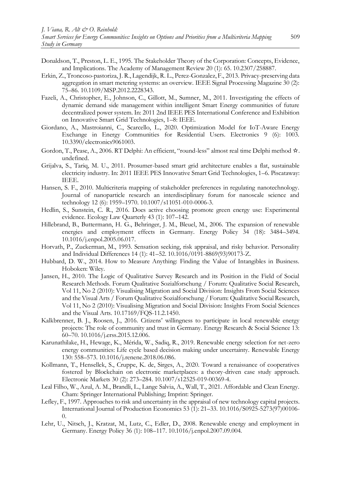- Donaldson, T., Preston, L. E., 1995. The Stakeholder Theory of the Corporation: Concepts, Evidence, and Implications. The Academy of Management Review 20 (1): 65. 10.2307/258887.
- Erkin, Z., Troncoso-pastoriza, J. R., Lagendijk, R. L., Perez-Gonzalez, F., 2013. Privacy-preserving data aggregation in smart metering systems: an overview. IEEE Signal Processing Magazine 30 (2): 75–86. 10.1109/MSP.2012.2228343.
- Fazeli, A., Christopher, E., Johnson, C., Gillott, M., Sumner, M., 2011. Investigating the effects of dynamic demand side management within intelligent Smart Energy communities of future decentralized power system. In: 2011 2nd IEEE PES International Conference and Exhibition on Innovative Smart Grid Technologies, 1–8: IEEE.
- Giordano, A., Mastroianni, C., Scarcello, L., 2020. Optimization Model for IoT-Aware Energy Exchange in Energy Communities for Residential Users. Electronics 9 (6): 1003. 10.3390/electronics9061003.
- Gordon, T., Pease, A., 2006. RT Delphi: An efficient, "round-less" almost real time Delphi method ☆. undefined.
- Grijalva, S., Tariq, M. U., 2011. Prosumer-based smart grid architecture enables a flat, sustainable electricity industry. In: 2011 IEEE PES Innovative Smart Grid Technologies, 1–6. Piscataway: IEEE.
- Hansen, S. F., 2010. Multicriteria mapping of stakeholder preferences in regulating nanotechnology. Journal of nanoparticle research an interdisciplinary forum for nanoscale science and technology 12 (6): 1959–1970. 10.1007/s11051-010-0006-3.
- Hedlin, S., Sunstein, C. R., 2016. Does active choosing promote green energy use: Experimental evidence. Ecology Law Quarterly 43 (1): 107–142.
- Hillebrand, B., Buttermann, H. G., Behringer, J. M., Bleuel, M., 2006. The expansion of renewable energies and employment effects in Germany. Energy Policy 34 (18): 3484–3494. 10.1016/j.enpol.2005.06.017.
- Horvath, P., Zuckerman, M., 1993. Sensation seeking, risk appraisal, and risky behavior. Personality and Individual Differences 14 (1): 41–52. 10.1016/0191-8869(93)90173-Z.
- Hubbard, D. W., 2014. How to Measure Anything: Finding the Value of Intangibles in Business. Hoboken: Wiley.
- Jansen, H., 2010. The Logic of Qualitative Survey Research and its Position in the Field of Social Research Methods. Forum Qualitative Sozialforschung / Forum: Qualitative Social Research, Vol 11, No 2 (2010): Visualising Migration and Social Division: Insights From Social Sciences and the Visual Arts / Forum Qualitative Sozialforschung / Forum: Qualitative Social Research, Vol 11, No 2 (2010): Visualising Migration and Social Division: Insights From Social Sciences and the Visual Arts. 10.17169/FQS-11.2.1450.
- Kalkbrenner, B. J., Roosen, J., 2016. Citizens' willingness to participate in local renewable energy projects: The role of community and trust in Germany. Energy Research & Social Science 13: 60–70. 10.1016/j.erss.2015.12.006.
- Karunathilake, H., Hewage, K., Mérida, W., Sadiq, R., 2019. Renewable energy selection for net-zero energy communities: Life cycle based decision making under uncertainty. Renewable Energy 130: 558–573. 10.1016/j.renene.2018.06.086.
- Kollmann, T., Hensellek, S., Cruppe, K. de, Sirges, A., 2020. Toward a renaissance of cooperatives fostered by Blockchain on electronic marketplaces: a theory-driven case study approach. Electronic Markets 30 (2): 273–284. 10.1007/s12525-019-00369-4.
- Leal Filho, W., Azul, A. M., Brandli, L., Lange Salvia, A., Wall, T., 2021. Affordable and Clean Energy. Cham: Springer International Publishing; Imprint: Springer.
- Lefley, F., 1997. Approaches to risk and uncertainty in the appraisal of new technology capital projects. International Journal of Production Economics 53 (1): 21–33. 10.1016/S0925-5273(97)00106-  $\Omega$ .
- Lehr, U., Nitsch, J., Kratzat, M., Lutz, C., Edler, D., 2008. Renewable energy and employment in Germany. Energy Policy 36 (1): 108–117. 10.1016/j.enpol.2007.09.004.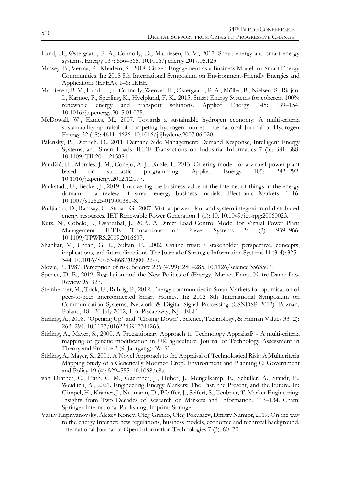- Lund, H., Østergaard, P. A., Connolly, D., Mathiesen, B. V., 2017. Smart energy and smart energy systems. Energy 137: 556–565. 10.1016/j.energy.2017.05.123.
- Massey, B., Verma, P., Khadem, S., 2018. Citizen Engagement as a Business Model for Smart Energy Communities. In: 2018 5th International Symposium on Environment-Friendly Energies and Applications (EFEA), 1–6: IEEE.
- Mathiesen, B. V., Lund, H., d. Connolly, Wenzel, H., Østergaard, P. A., Möller, B., Nielsen, S., Ridjan, I., Karnøe, P., Sperling, K., Hvelplund, F. K., 2015. Smart Energy Systems for coherent 100% renewable energy and transport solutions. Applied Energy 145: 139–154. 10.1016/j.apenergy.2015.01.075.
- McDowall, W., Eames, M., 2007. Towards a sustainable hydrogen economy: A multi-criteria sustainability appraisal of competing hydrogen futures. International Journal of Hydrogen Energy 32 (18): 4611–4626. 10.1016/j.ijhydene.2007.06.020.
- Palensky, P., Dietrich, D., 2011. Demand Side Management: Demand Response, Intelligent Energy Systems, and Smart Loads. IEEE Transactions on Industrial Informatics 7 (3): 381–388. 10.1109/TII.2011.2158841.
- Pandžić, H., Morales, J. M., Conejo, A. J., Kuzle, I., 2013. Offering model for a virtual power plant based on stochastic programming. 10.1016/j.apenergy.2012.12.077.
- Paukstadt, U., Becker, J., 2019. Uncovering the business value of the internet of things in the energy domain – a review of smart energy business models. Electronic Markets: 1–16. 10.1007/s12525-019-00381-8.
- Pudjianto, D., Ramsay, C., Strbac, G., 2007. Virtual power plant and system integration of distributed energy resources. IET Renewable Power Generation 1 (1): 10. 10.1049/iet-rpg:20060023.
- Ruiz, N., Cobelo, I., Oyarzabal, J., 2009. A Direct Load Control Model for Virtual Power Plant Transactions on 10.1109/TPWRS.2009.2016607.
- Shankar, V., Urban, G. L., Sultan, F., 2002. Online trust: a stakeholder perspective, concepts, implications, and future directions. The Journal of Strategic Information Systems 11 (3-4): 325– 344. 10.1016/S0963-8687(02)00022-7.
- Slovic, P., 1987. Perception of risk. Science 236 (4799): 280–285. 10.1126/science.3563507.
- Spence, D. B., 2019. Regulation and the New Politics of (Energy) Market Entry. Notre Dame Law Review 95: 327.
- Steinheimer, M., Trick, U., Ruhrig, P., 2012. Energy communities in Smart Markets for optimisation of peer-to-peer interconnected Smart Homes. In: 2012 8th International Symposium on Communication Systems, Network & Digital Signal Processing (CSNDSP 2012): Poznan, Poland, 18 - 20 July 2012, 1–6. Piscataway, NJ: IEEE.
- Stirling, A., 2008. "Opening Up" and "Closing Down". Science, Technology, & Human Values 33 (2): 262–294. 10.1177/0162243907311265.
- Stirling, A., Mayer, S., 2000. A Precautionary Approach to Technology Appraisal? A multi-criteria mapping of genetic modification in UK agriculture. Journal of Technology Assessment in Theory and Practice 3 (9. Jahrgang): 39–51.
- Stirling, A., Mayer, S., 2001. A Novel Approach to the Appraisal of Technological Risk: A Multicriteria Mapping Study of a Genetically Modified Crop. Environment and Planning C: Government and Policy 19 (4): 529–555. 10.1068/c8s.
- van Dinther, C., Flath, C. M., Gaerttner, J., Huber, J., Mengelkamp, E., Schuller, A., Staudt, P., Weidlich, A., 2021. Engineering Energy Markets: The Past, the Present, and the Future. In: Gimpel, H., Krämer, J., Neumann, D., Pfeiffer, J., Seifert, S., Teubner, T. Market Engineering: Insights from Two Decades of Research on Markets and Information, 113–134. Cham: Springer International Publishing; Imprint: Springer.
- Vasily Kupriyanovsky, Alexey Konev, Oleg Grinko, Oleg Pokusaev, Dmitry Namiot, 2019. On the way to the energy Internet: new regulations, business models, economic and technical background. International Journal of Open Information Technologies 7 (3): 60–70.